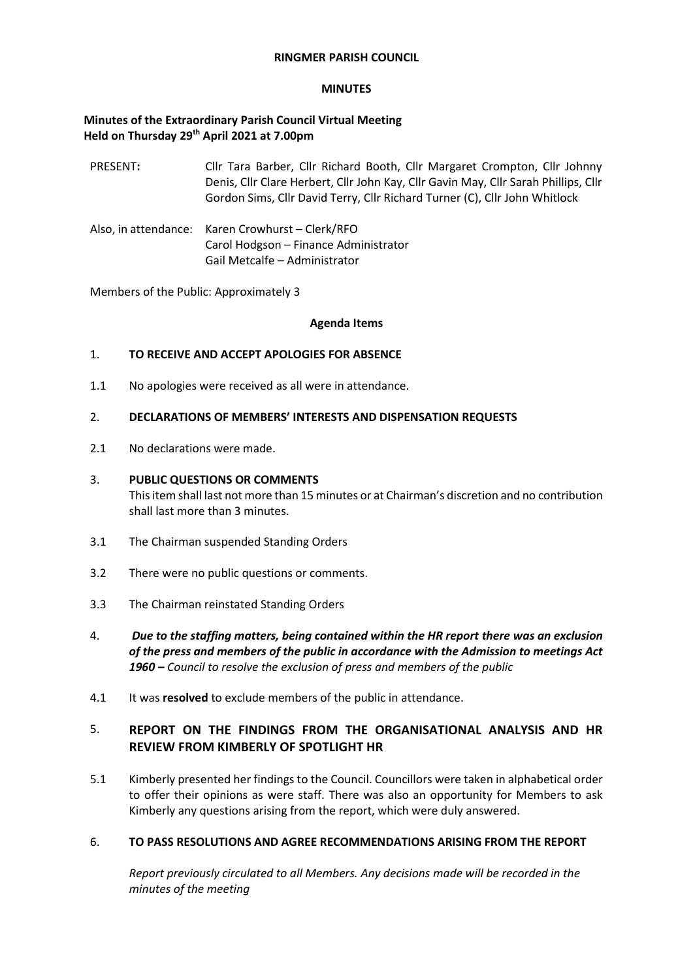## **RINGMER PARISH COUNCIL**

#### **MINUTES**

## **Minutes of the Extraordinary Parish Council Virtual Meeting Held on Thursday 29th April 2021 at 7.00pm**

- PRESENT**:** Cllr Tara Barber, Cllr Richard Booth, Cllr Margaret Crompton, Cllr Johnny Denis, Cllr Clare Herbert, Cllr John Kay, Cllr Gavin May, Cllr Sarah Phillips, Cllr Gordon Sims, Cllr David Terry, Cllr Richard Turner (C), Cllr John Whitlock
- Also, in attendance: Karen Crowhurst Clerk/RFO Carol Hodgson – Finance Administrator Gail Metcalfe – Administrator

Members of the Public: Approximately 3

#### **Agenda Items**

## 1. **TO RECEIVE AND ACCEPT APOLOGIES FOR ABSENCE**

1.1 No apologies were received as all were in attendance.

#### 2. **DECLARATIONS OF MEMBERS' INTERESTS AND DISPENSATION REQUESTS**

2.1 No declarations were made.

## 3. **PUBLIC QUESTIONS OR COMMENTS**

This item shall last not more than 15 minutes or at Chairman's discretion and no contribution shall last more than 3 minutes.

- 3.1 The Chairman suspended Standing Orders
- 3.2 There were no public questions or comments.
- 3.3 The Chairman reinstated Standing Orders
- 4. *Due to the staffing matters, being contained within the HR report there was an exclusion of the press and members of the public in accordance with the Admission to meetings Act 1960 – Council to resolve the exclusion of press and members of the public*
- 4.1 It was **resolved** to exclude members of the public in attendance.

# 5. **REPORT ON THE FINDINGS FROM THE ORGANISATIONAL ANALYSIS AND HR REVIEW FROM KIMBERLY OF SPOTLIGHT HR**

5.1 Kimberly presented her findings to the Council. Councillors were taken in alphabetical order to offer their opinions as were staff. There was also an opportunity for Members to ask Kimberly any questions arising from the report, which were duly answered.

## 6. **TO PASS RESOLUTIONS AND AGREE RECOMMENDATIONS ARISING FROM THE REPORT**

*Report previously circulated to all Members. Any decisions made will be recorded in the minutes of the meeting*